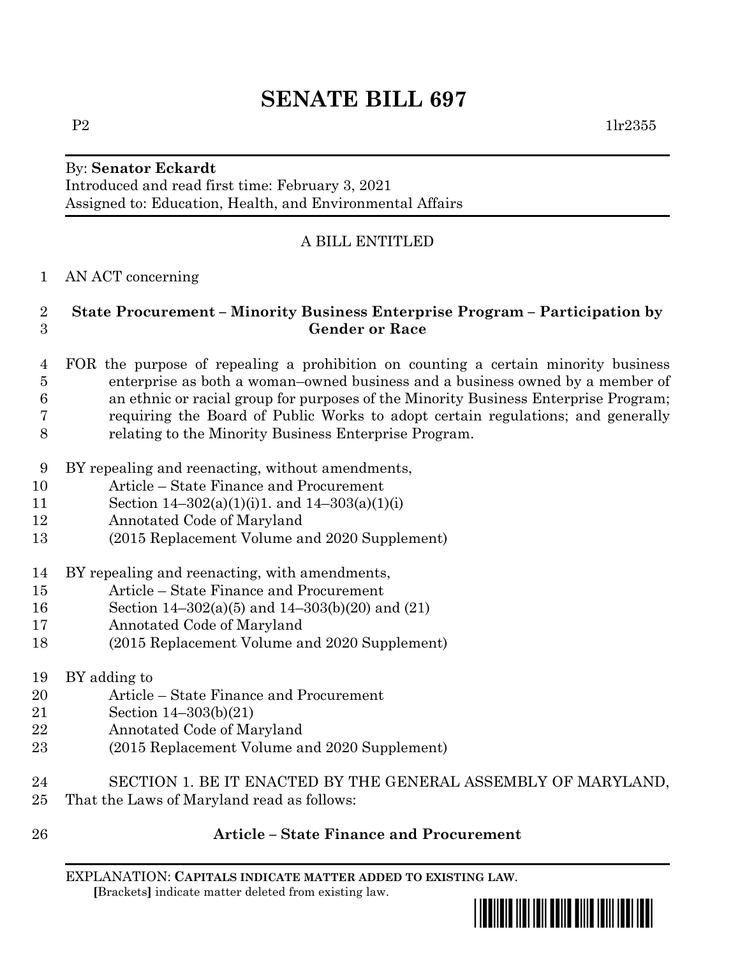# **SENATE BILL 697**

#### By: **Senator Eckardt** Introduced and read first time: February 3, 2021 Assigned to: Education, Health, and Environmental Affairs

## A BILL ENTITLED

AN ACT concerning

#### **State Procurement – Minority Business Enterprise Program – Participation by Gender or Race**

- FOR the purpose of repealing a prohibition on counting a certain minority business enterprise as both a woman–owned business and a business owned by a member of an ethnic or racial group for purposes of the Minority Business Enterprise Program; requiring the Board of Public Works to adopt certain regulations; and generally relating to the Minority Business Enterprise Program.
- BY repealing and reenacting, without amendments,
- Article State Finance and Procurement
- 11 Section  $14-302(a)(1)(i)1$ . and  $14-303(a)(1)(i)$
- Annotated Code of Maryland
- (2015 Replacement Volume and 2020 Supplement)
- BY repealing and reenacting, with amendments,
- Article State Finance and Procurement
- Section 14–302(a)(5) and 14–303(b)(20) and (21)
- Annotated Code of Maryland
- (2015 Replacement Volume and 2020 Supplement)
- BY adding to
- Article State Finance and Procurement
- Section 14–303(b)(21)
- Annotated Code of Maryland
- (2015 Replacement Volume and 2020 Supplement)
- SECTION 1. BE IT ENACTED BY THE GENERAL ASSEMBLY OF MARYLAND, That the Laws of Maryland read as follows:
- 

### **Article – State Finance and Procurement**

EXPLANATION: **CAPITALS INDICATE MATTER ADDED TO EXISTING LAW**.  **[**Brackets**]** indicate matter deleted from existing law.